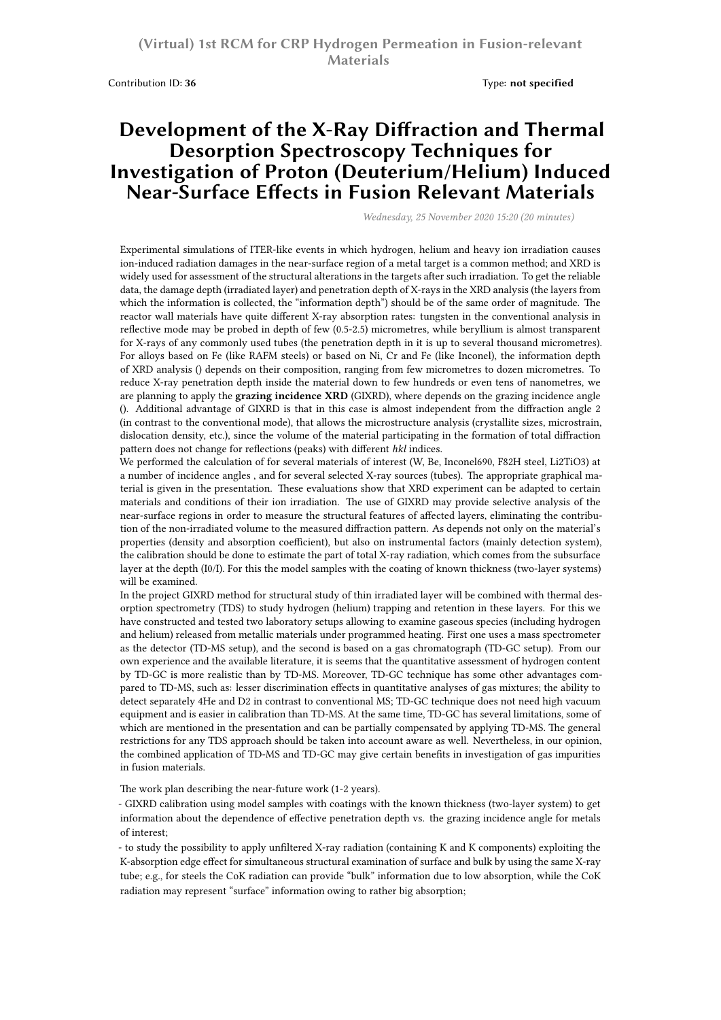Contribution ID: 36 **Type: not specified** 

## **Development of the X-Ray Diffraction and Thermal Desorption Spectroscopy Techniques for Investigation of Proton (Deuterium/Helium) Induced Near-Surface Effects in Fusion Relevant Materials**

*Wednesday, 25 November 2020 15:20 (20 minutes)*

Experimental simulations of ITER-like events in which hydrogen, helium and heavy ion irradiation causes ion-induced radiation damages in the near-surface region of a metal target is a common method; and XRD is widely used for assessment of the structural alterations in the targets after such irradiation. To get the reliable data, the damage depth (irradiated layer) and penetration depth of X-rays in the XRD analysis (the layers from which the information is collected, the "information depth") should be of the same order of magnitude. The reactor wall materials have quite different X-ray absorption rates: tungsten in the conventional analysis in reflective mode may be probed in depth of few (0.5-2.5) micrometres, while beryllium is almost transparent for X-rays of any commonly used tubes (the penetration depth in it is up to several thousand micrometres). For alloys based on Fe (like RAFM steels) or based on Ni, Cr and Fe (like Inconel), the information depth of XRD analysis () depends on their composition, ranging from few micrometres to dozen micrometres. To reduce X-ray penetration depth inside the material down to few hundreds or even tens of nanometres, we are planning to apply the **grazing incidence XRD** (GIXRD), where depends on the grazing incidence angle (). Additional advantage of GIXRD is that in this case is almost independent from the diffraction angle 2 (in contrast to the conventional mode), that allows the microstructure analysis (crystallite sizes, microstrain, dislocation density, etc.), since the volume of the material participating in the formation of total diffraction pattern does not change for reflections (peaks) with different *hkl* indices.

We performed the calculation of for several materials of interest (W, Be, Inconel690, F82H steel, Li2TiO3) at a number of incidence angles , and for several selected X-ray sources (tubes). The appropriate graphical material is given in the presentation. These evaluations show that XRD experiment can be adapted to certain materials and conditions of their ion irradiation. The use of GIXRD may provide selective analysis of the near-surface regions in order to measure the structural features of affected layers, eliminating the contribution of the non-irradiated volume to the measured diffraction pattern. As depends not only on the material's properties (density and absorption coefficient), but also on instrumental factors (mainly detection system), the calibration should be done to estimate the part of total X-ray radiation, which comes from the subsurface layer at the depth (I0/I). For this the model samples with the coating of known thickness (two-layer systems) will be examined.

In the project GIXRD method for structural study of thin irradiated layer will be combined with thermal desorption spectrometry (TDS) to study hydrogen (helium) trapping and retention in these layers. For this we have constructed and tested two laboratory setups allowing to examine gaseous species (including hydrogen and helium) released from metallic materials under programmed heating. First one uses a mass spectrometer as the detector (TD-MS setup), and the second is based on a gas chromatograph (TD-GC setup). From our own experience and the available literature, it is seems that the quantitative assessment of hydrogen content by TD-GC is more realistic than by TD-MS. Moreover, TD-GC technique has some other advantages compared to TD-MS, such as: lesser discrimination effects in quantitative analyses of gas mixtures; the ability to detect separately 4He and D2 in contrast to conventional MS; TD-GC technique does not need high vacuum equipment and is easier in calibration than TD-MS. At the same time, TD-GC has several limitations, some of which are mentioned in the presentation and can be partially compensated by applying TD-MS. The general restrictions for any TDS approach should be taken into account aware as well. Nevertheless, in our opinion, the combined application of TD-MS and TD-GC may give certain benefits in investigation of gas impurities in fusion materials.

The work plan describing the near-future work (1-2 years).

- GIXRD calibration using model samples with coatings with the known thickness (two-layer system) to get information about the dependence of effective penetration depth vs. the grazing incidence angle for metals of interest;

- to study the possibility to apply unfiltered X-ray radiation (containing K and K components) exploiting the K-absorption edge effect for simultaneous structural examination of surface and bulk by using the same X-ray tube; e.g., for steels the CoK radiation can provide "bulk" information due to low absorption, while the CoK radiation may represent "surface" information owing to rather big absorption;